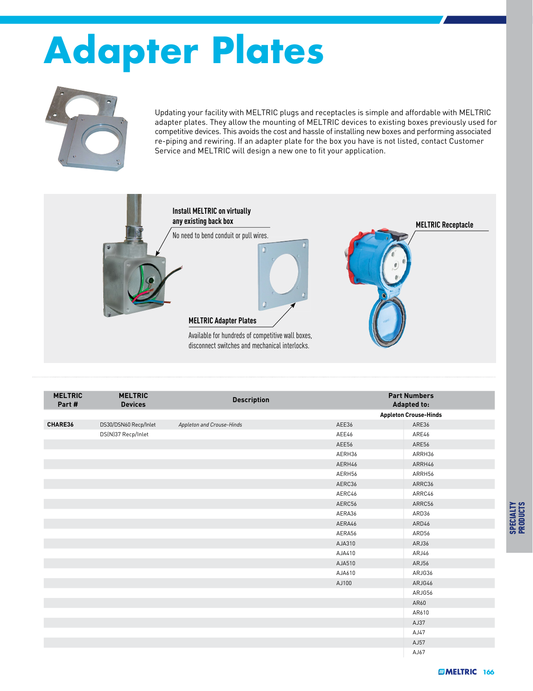## **Adapter Plates**



Updating your facility with MELTRIC plugs and receptacles is simple and affordable with MELTRIC adapter plates. They allow the mounting of MELTRIC devices to existing boxes previously used for competitive devices. This avoids the cost and hassle of installing new boxes and performing associated re-piping and rewiring. If an adapter plate for the box you have is not listed, contact Customer Service and MELTRIC will design a new one to fit your application.



| <b>MELTRIC</b><br>Part # | <b>MELTRIC</b><br><b>Devices</b> | <b>Description</b>        |        | <b>Part Numbers</b><br><b>Adapted to:</b> |  |
|--------------------------|----------------------------------|---------------------------|--------|-------------------------------------------|--|
|                          |                                  |                           |        | <b>Appleton Crouse-Hinds</b>              |  |
| CHARE36                  | DS30/DSN60 Recp/Inlet            | Appleton and Crouse-Hinds | AEE36  | ARE36                                     |  |
|                          | DS(N)37 Recp/Inlet               |                           | AEE46  | ARE46                                     |  |
|                          |                                  |                           | AEE56  | ARE56                                     |  |
|                          |                                  |                           | AERH36 | ARRH36                                    |  |
|                          |                                  |                           | AERH46 | ARRH46                                    |  |
|                          |                                  |                           | AERH56 | ARRH56                                    |  |
|                          |                                  |                           | AERC36 | ARRC36                                    |  |
|                          |                                  |                           | AERC46 | ARRC46                                    |  |
|                          |                                  |                           | AERC56 | ARRC56                                    |  |
|                          |                                  |                           | AERA36 | ARD36                                     |  |
|                          |                                  |                           | AERA46 | ARD46                                     |  |
|                          |                                  |                           | AERA56 | ARD56                                     |  |
|                          |                                  |                           | AJA310 | ARJ36                                     |  |
|                          |                                  |                           | AJA410 | ARJ46                                     |  |
|                          |                                  |                           | AJA510 | ARJ56                                     |  |
|                          |                                  |                           | AJA610 | ARJG36                                    |  |
|                          |                                  |                           | AJ100  | ARJG46                                    |  |
|                          |                                  |                           |        | ARJG56                                    |  |
|                          |                                  |                           |        | AR60                                      |  |
|                          |                                  |                           |        | AR610                                     |  |
|                          |                                  |                           |        | AJ37                                      |  |
|                          |                                  |                           |        | AJ47                                      |  |
|                          |                                  |                           |        | AJ57                                      |  |
|                          |                                  |                           |        | AJ67                                      |  |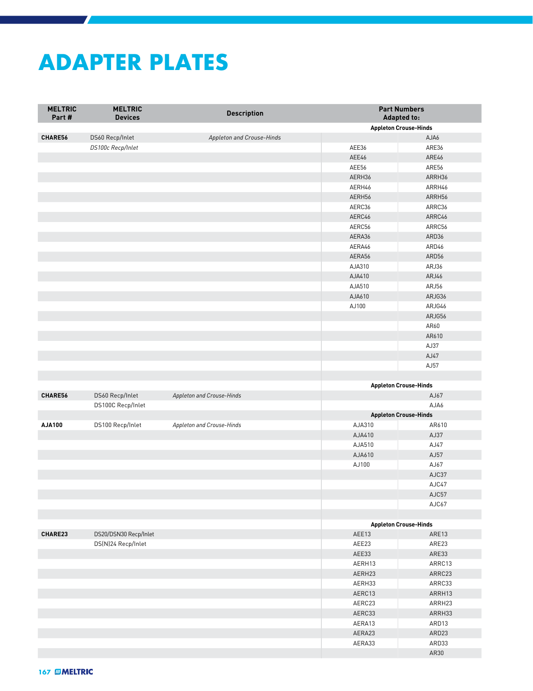## **ADAPTER PLATES**

| <b>MELTRIC</b><br>Part# | <b>MELTRIC</b><br><b>Devices</b> | <b>Description</b>        | <b>Part Numbers</b><br><b>Adapted to:</b>       |        |
|-------------------------|----------------------------------|---------------------------|-------------------------------------------------|--------|
|                         |                                  |                           | <b>Appleton Crouse-Hinds</b>                    |        |
| CHARE56                 | DS60 Recp/Inlet                  | Appleton and Crouse-Hinds |                                                 | AJA6   |
|                         | DS100c Recp/Inlet                |                           | AEE36                                           | ARE36  |
|                         |                                  |                           | AEE46                                           | ARE46  |
|                         |                                  |                           | AEE56                                           | ARE56  |
|                         |                                  |                           | AERH36                                          | ARRH36 |
|                         |                                  |                           | AERH46                                          | ARRH46 |
|                         |                                  |                           | AERH56                                          | ARRH56 |
|                         |                                  |                           | AERC36                                          | ARRC36 |
|                         |                                  |                           | AERC46                                          | ARRC46 |
|                         |                                  |                           | AERC56                                          | ARRC56 |
|                         |                                  |                           | AERA36                                          | ARD36  |
|                         |                                  |                           | AERA46                                          | ARD46  |
|                         |                                  |                           | AERA56                                          | ARD56  |
|                         |                                  |                           | AJA310                                          | ARJ36  |
|                         |                                  |                           | AJA410                                          | ARJ46  |
|                         |                                  |                           | AJA510                                          | ARJ56  |
|                         |                                  |                           | AJA610                                          | ARJG36 |
|                         |                                  |                           | AJ100                                           | ARJG46 |
|                         |                                  |                           |                                                 | ARJG56 |
|                         |                                  |                           |                                                 | AR60   |
|                         |                                  |                           |                                                 | AR610  |
|                         |                                  |                           |                                                 | AJ37   |
|                         |                                  |                           |                                                 | AJ47   |
|                         |                                  |                           |                                                 | AJ57   |
|                         |                                  |                           |                                                 |        |
|                         |                                  |                           |                                                 |        |
| CHARE56                 | DS60 Recp/Inlet                  | Appleton and Crouse-Hinds | <b>Appleton Crouse-Hinds</b><br>AJ67            |        |
|                         | DS100C Recp/Inlet                |                           |                                                 | AJA6   |
|                         |                                  |                           |                                                 |        |
| AJA100                  | DS100 Recp/Inlet                 | Appleton and Crouse-Hinds | <b>Appleton Crouse-Hinds</b><br>AJA310<br>AR610 |        |
|                         |                                  |                           | AJA410                                          | AJ37   |
|                         |                                  |                           | AJA510                                          | AJ47   |
|                         |                                  |                           | AJA610                                          | AJ57   |
|                         |                                  |                           | AJ100                                           | AJ67   |
|                         |                                  |                           |                                                 | AJC37  |
|                         |                                  |                           |                                                 | AJC47  |
|                         |                                  |                           |                                                 | AJC57  |
|                         |                                  |                           |                                                 |        |
|                         |                                  |                           |                                                 | AJC67  |
|                         |                                  |                           |                                                 |        |
| CHARE23                 | DS20/DSN30 Recp/Inlet            |                           | <b>Appleton Crouse-Hinds</b><br>AEE13<br>ARE13  |        |
|                         |                                  |                           |                                                 |        |
|                         | DS(N)24 Recp/Inlet               |                           | AEE23                                           | ARE23  |
|                         |                                  |                           | AEE33                                           | ARE33  |
|                         |                                  |                           | AERH13                                          | ARRC13 |
|                         |                                  |                           | AERH23                                          | ARRC23 |
|                         |                                  |                           | AERH33                                          | ARRC33 |
|                         |                                  |                           | AERC13                                          | ARRH13 |
|                         |                                  |                           | AERC23                                          | ARRH23 |
|                         |                                  |                           | AERC33                                          | ARRH33 |
|                         |                                  |                           | AERA13                                          | ARD13  |
|                         |                                  |                           | AERA23                                          | ARD23  |
|                         |                                  |                           | AERA33                                          | ARD33  |
|                         |                                  |                           |                                                 | AR30   |